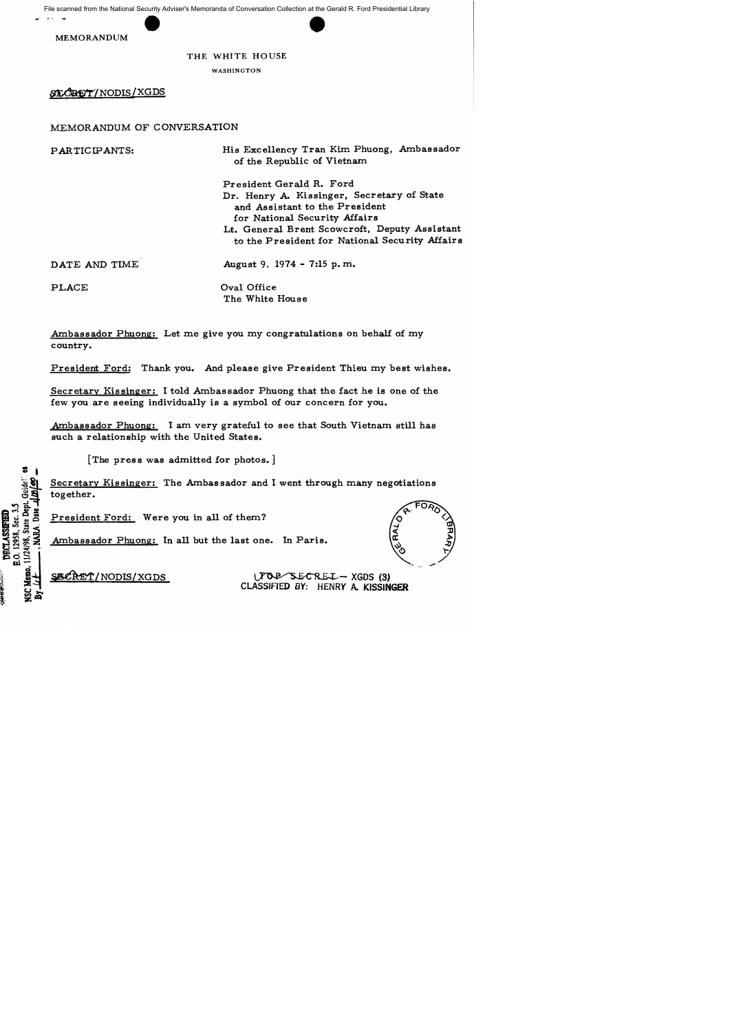File scanned from the National Security Adviser's Memoranda of Conversation Collection at the Gerald R. Ford Presidential Library



## THE WHITE HOUSE

WASHINGTON

ST.CRET/NODIS/XGDS

## MEMORANDUM OF CONVERSATION

PARTICIPANTS: DATE AND TIME PLACE His Excellency Tran Kim Phuong, Ambassador of the Republic of Vietnam President Gerald R. Ford Dr. Henry A. Kissinger, Secretary of State and Assistant to the President for National Security Affairs Lt. General Brent Scowcroft. Deputy Assistant to the President for National Security Affairs August 9, 1974 - 7:15 p. m. Oval Office The White House

Ambassador Phuong: Let me give you my congratulations on behalf of my country.

President Ford: Thank you. And please give President Thieu my best wishes.

Secretary Kissinger: I told Ambassador Phuong that the fact he is one of the few you are seeing individually is a symbol of our concern for you.

Ambassador Phuong: I am very grateful to see that South Vietnam still has such a relationship with the United States.

[The press was admitted for photos.]

Secretary Kissinger: The Ambassador and I went through many negotiations together.

President Ford: Were you in all of them?

Ambassador Phuong: In all but the last one. In Paris.



~/NODffi/XGDS ~-XGDS(3) CLASSJFIED BY: HENRY A. KISSINGER

**Memo.** 11/24/98, State Dep B.O. 12958, Sec. 3. DECLASSETED **USS**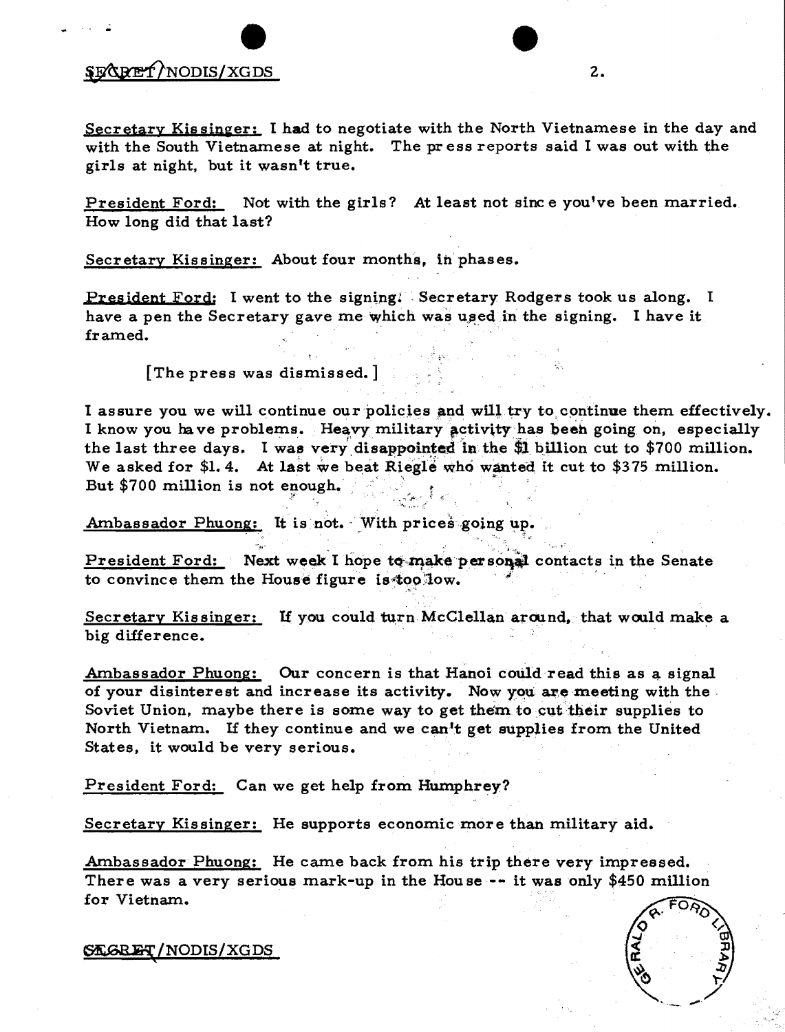## e \$EXRET/NODIS/XGDS 2.

Secretary Kissinger: I had to negotiate with the North Vietnamese in the day and with the South Vietnamese at night. The pr ess reports said I was out with the girls at night, but it wasn't true.

President Ford: Not with the girls? At least not sine e you've been married. How long did that last?

Secretary Kissinger: About four months, in' phases.

President Ford: I went to the signing! Secretary Rodgers took us along. I have a pen the Secretary gave me which was used in the signing. I have it framed.

[The press was dismissed.]

I assure you we will continue our policies and will try to continue them effectively. I know you have problems. Heavy military activity has been going on, especially the last three days. I was very disappointed in the \$1 billion cut to \$700 million.<br>We asked for \$1.4. At last we beat Riegle who wanted it cut to \$375 million.<br>But \$700 million is not enough. We asked for \$1.4. At last we beat Riegle who wanted it cut to \$375 million. 2" ~' .;

Ambassador Phuong: It is not. With prices going up.

President Ford: Next week I hope to make personal contacts in the Senate to convince them the House figure is too low.

Secretary Kissinger: If you could turn McClellan around, that would make a big difference.

Ambassador Phuong: Our concern is that Hanoi could read this as a signal of your disinterest and increase its activity. Now you are meeting with the. Soviet Union, maybe there is some way to get them to cut their supplies to North Vietnam. If they continue and we can't get supplies from the United States, it would be very serious.

President Ford: Can we get help from Humphrey?

Secretary Kissinger: He supports economic more than military aid.

Ambassador Phuong: He came back from his trip there very impressed. There was a very serious mark-up in the Hou se -- it was only \$450 million for Vietnam.



~/NODIS/XGDS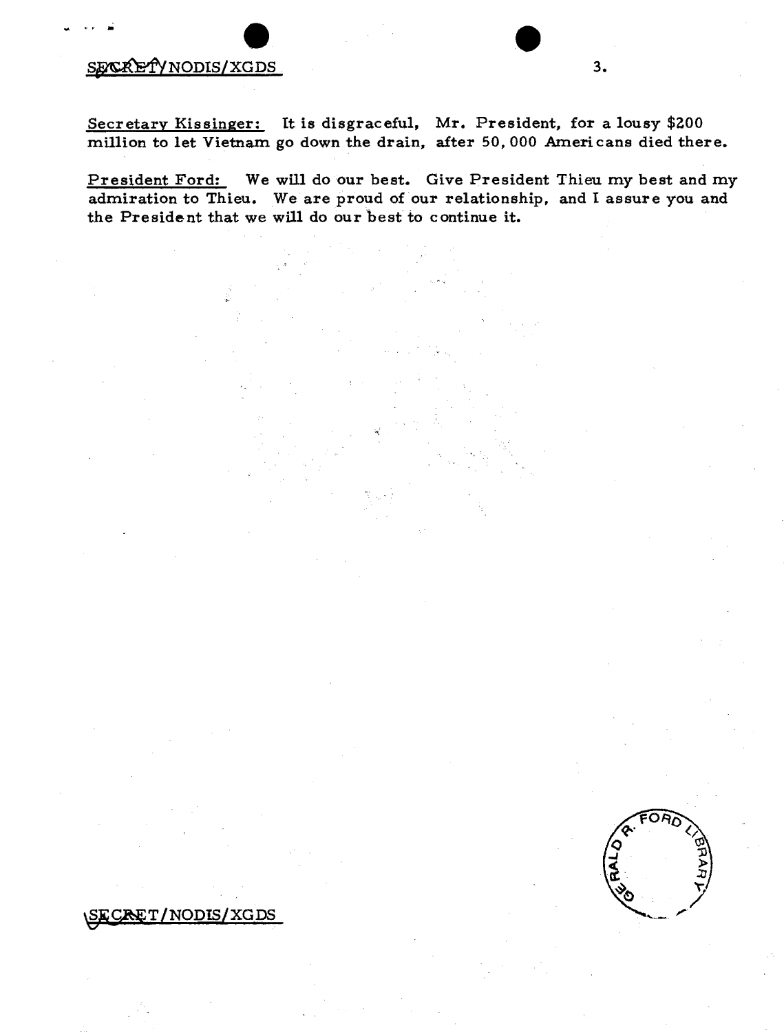## e SEXCRETYNODIS/XGDS . 3.

\SECRET/NODIS/XGDS

Secretary Kissinger: It is disgraceful, Mr. President, for a lousy \$200 million to let Vietnam go down the drain, after 50,000 Americans died there.

President Ford: We will do our best. Give President Thieu my best and my admiration to Thieu. We are proud of our relationship, and I assure you and the President that we will do our best to continue it.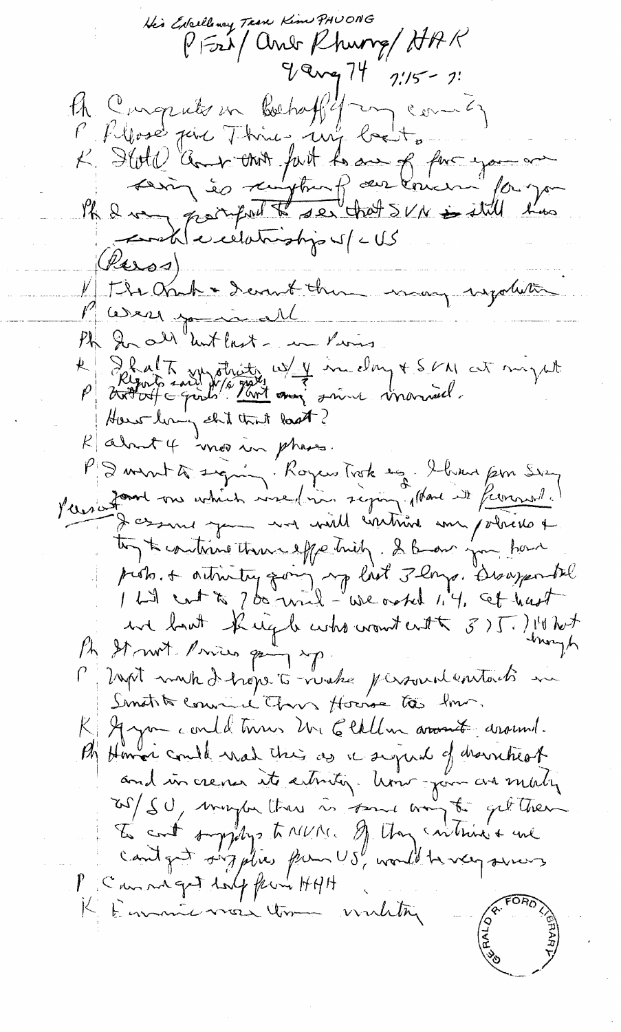His Excellency Trave Kim PHUONG PFri and Rhung AAR  $9$  array  $74$   $7\frac{1}{5}$   $7\frac{1}{5}$ A Computer en bochaffly an comme)<br>L'Allose point Think auf breit a fact you are MR & very promport to see that SVN is still has contil executionships of cUS  $(Pess)$ The Orach - I event them may sydlette Were joint Ph In all untlast - in Pierres. Le Shalt sur otraite w/ y im day + SM at might How living shit that last?  $k$  about 4 mos in phase. PS wint to signing. Royces Trock to bring from Sien Pleasant vous achien vise (voir signification de français) Jessait jour moi ville contrait aux policies es to the continue there effectively. I know you have prob. + autricity gaing age list 3 longe. Besagentel une bout Right who want enth 3) [. ] 14 hot A St met Prices pay sp. though P ] rept make I hope to verale personnel entacts in Smothto convince Chos House to the. Ayan could turns un Etallin arount around. By Howar could wat this as a signal of drawnheat and in cremes its arbitiq. Univ jour avenuely ros/ SU, maybe than is found way to get then P Canne get dolp few HAH Eurnic more tom winding